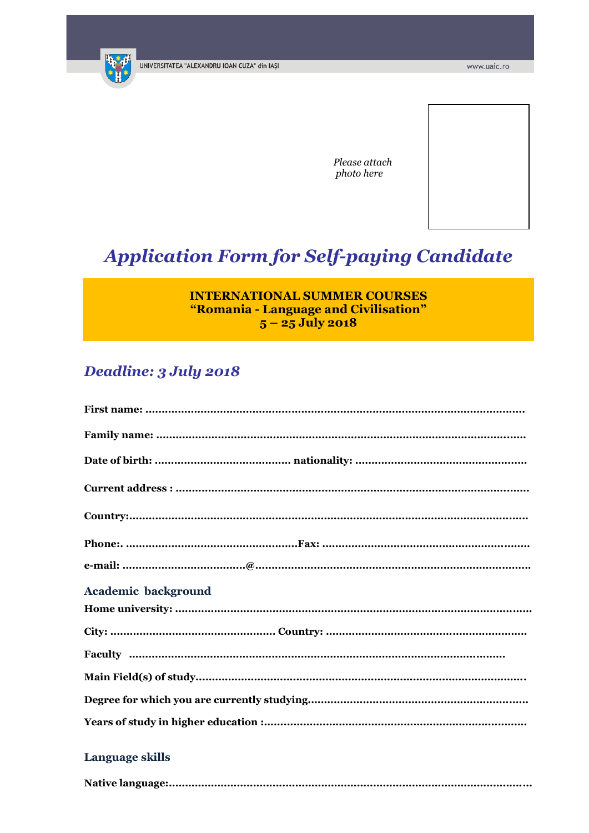

Please attach photo here

# **Application Form for Self-paying Candidate**

## **INTERNATIONAL SUMMER COURSES** "Romania - Language and Civilisation"  $5 - 25$  July 2018

# Deadline: 3 July 2018

| <b>Academic background</b> |
|----------------------------|
|                            |
|                            |
|                            |
|                            |
|                            |
|                            |
|                            |

### Language skills